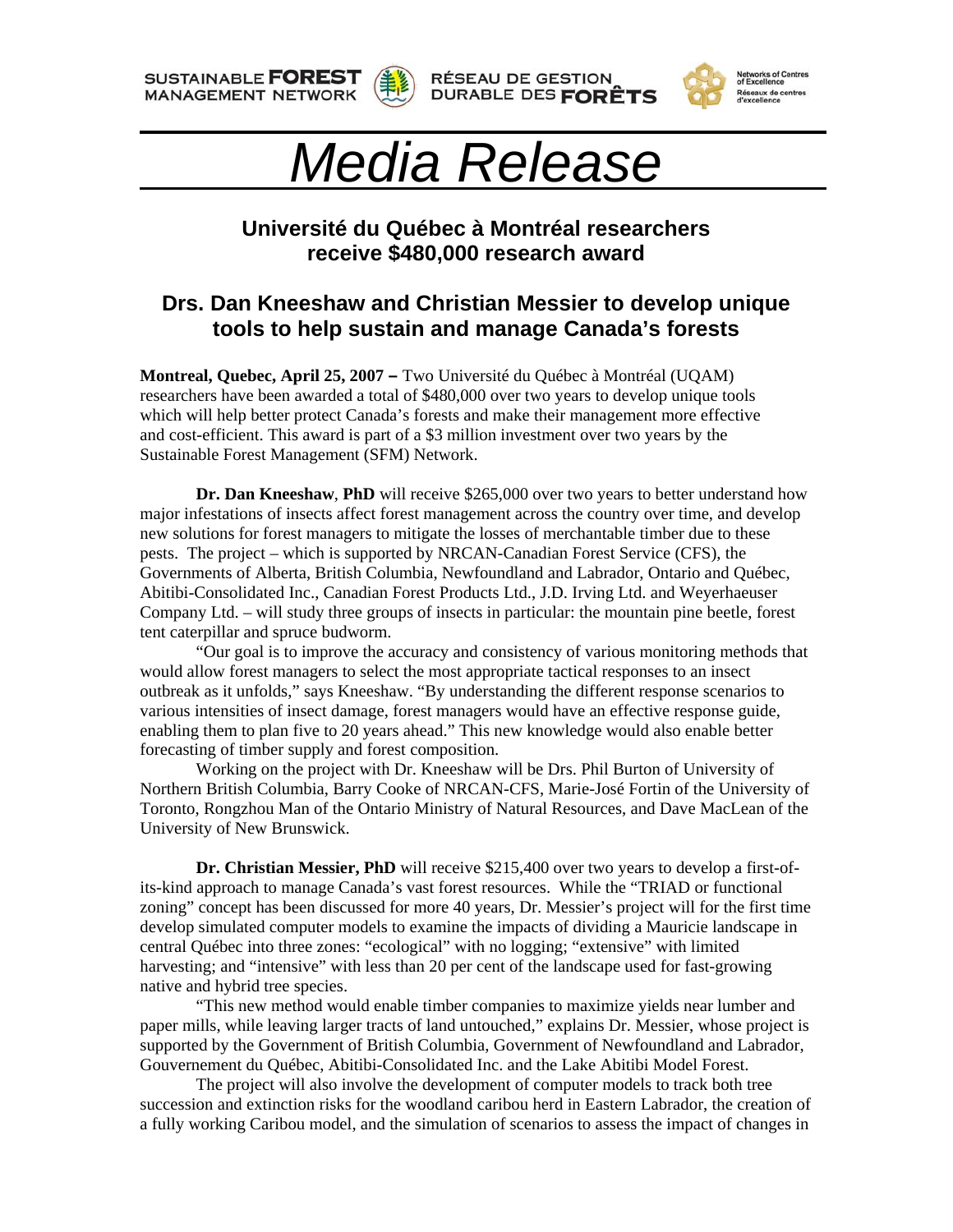**SUSTAINABLE FOREST MANAGEMENT NETWORK** 









## *Media Release*

## **Université du Québec à Montréal researchers receive \$480,000 research award**

## **Drs. Dan Kneeshaw and Christian Messier to develop unique tools to help sustain and manage Canada's forests**

**Montreal, Quebec, April 25, 2007 –** Two Université du Québec à Montréal (UQAM) researchers have been awarded a total of \$480,000 over two years to develop unique tools which will help better protect Canada's forests and make their management more effective and cost-efficient. This award is part of a \$3 million investment over two years by the Sustainable Forest Management (SFM) Network.

**Dr. Dan Kneeshaw, PhD** will receive \$265,000 over two years to better understand how major infestations of insects affect forest management across the country over time, and develop new solutions for forest managers to mitigate the losses of merchantable timber due to these pests. The project – which is supported by NRCAN-Canadian Forest Service (CFS), the Governments of Alberta, British Columbia, Newfoundland and Labrador, Ontario and Québec, Abitibi-Consolidated Inc., Canadian Forest Products Ltd., J.D. Irving Ltd. and Weyerhaeuser Company Ltd. – will study three groups of insects in particular: the mountain pine beetle, forest tent caterpillar and spruce budworm.

"Our goal is to improve the accuracy and consistency of various monitoring methods that would allow forest managers to select the most appropriate tactical responses to an insect outbreak as it unfolds," says Kneeshaw. "By understanding the different response scenarios to various intensities of insect damage, forest managers would have an effective response guide, enabling them to plan five to 20 years ahead." This new knowledge would also enable better forecasting of timber supply and forest composition.

Working on the project with Dr. Kneeshaw will be Drs. Phil Burton of University of Northern British Columbia, Barry Cooke of NRCAN-CFS, Marie-José Fortin of the University of Toronto, Rongzhou Man of the Ontario Ministry of Natural Resources, and Dave MacLean of the University of New Brunswick.

**Dr. Christian Messier, PhD** will receive \$215,400 over two years to develop a first-ofits-kind approach to manage Canada's vast forest resources. While the "TRIAD or functional zoning" concept has been discussed for more 40 years, Dr. Messier's project will for the first time develop simulated computer models to examine the impacts of dividing a Mauricie landscape in central Québec into three zones: "ecological" with no logging; "extensive" with limited harvesting; and "intensive" with less than 20 per cent of the landscape used for fast-growing native and hybrid tree species.

"This new method would enable timber companies to maximize yields near lumber and paper mills, while leaving larger tracts of land untouched," explains Dr. Messier, whose project is supported by the Government of British Columbia, Government of Newfoundland and Labrador, Gouvernement du Québec, Abitibi-Consolidated Inc. and the Lake Abitibi Model Forest.

The project will also involve the development of computer models to track both tree succession and extinction risks for the woodland caribou herd in Eastern Labrador, the creation of a fully working Caribou model, and the simulation of scenarios to assess the impact of changes in